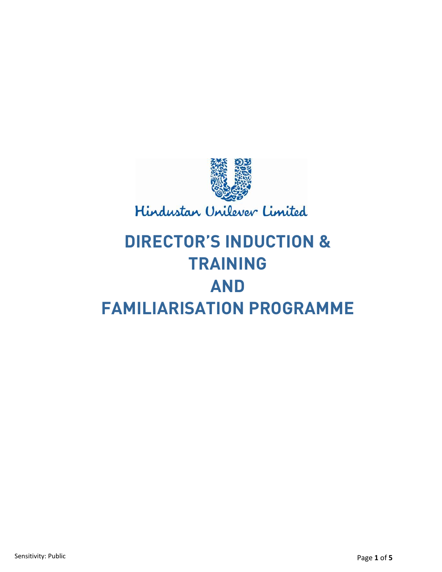

# **DIRECTOR'S INDUCTION & TRAINING AND FAMILIARISATION PROGRAMME**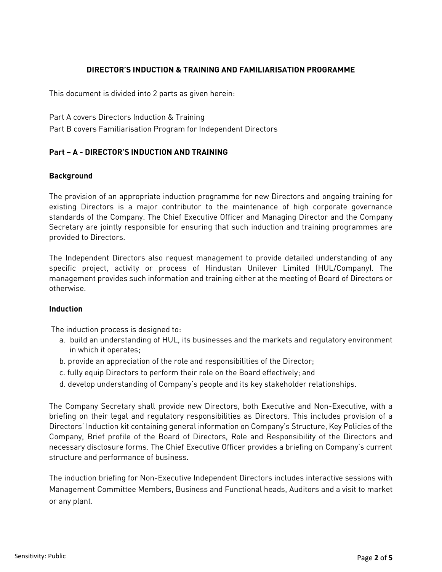# **DIRECTOR'S INDUCTION & TRAINING AND FAMILIARISATION PROGRAMME**

This document is divided into 2 parts as given herein:

Part A covers Directors Induction & Training

Part B covers Familiarisation Program for Independent Directors

# **Part – A - DIRECTOR'S INDUCTION AND TRAINING**

#### **Background**

The provision of an appropriate induction programme for new Directors and ongoing training for existing Directors is a major contributor to the maintenance of high corporate governance standards of the Company. The Chief Executive Officer and Managing Director and the Company Secretary are jointly responsible for ensuring that such induction and training programmes are provided to Directors.

The Independent Directors also request management to provide detailed understanding of any specific project, activity or process of Hindustan Unilever Limited (HUL/Company). The management provides such information and training either at the meeting of Board of Directors or otherwise.

#### **Induction**

The induction process is designed to:

- a. build an understanding of HUL, its businesses and the markets and regulatory environment in which it operates;
- b. provide an appreciation of the role and responsibilities of the Director;
- c. fully equip Directors to perform their role on the Board effectively; and
- d. develop understanding of Company's people and its key stakeholder relationships.

The Company Secretary shall provide new Directors, both Executive and Non-Executive, with a briefing on their legal and regulatory responsibilities as Directors. This includes provision of a Directors' Induction kit containing general information on Company's Structure, Key Policies of the Company, Brief profile of the Board of Directors, Role and Responsibility of the Directors and necessary disclosure forms. The Chief Executive Officer provides a briefing on Company's current structure and performance of business.

The induction briefing for Non-Executive Independent Directors includes interactive sessions with Management Committee Members, Business and Functional heads, Auditors and a visit to market or any plant.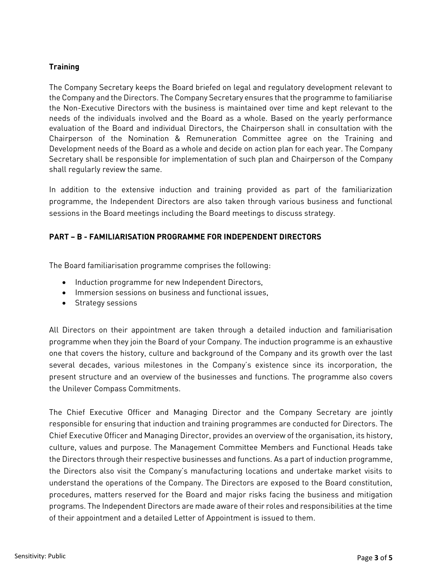## **Training**

The Company Secretary keeps the Board briefed on legal and regulatory development relevant to the Company and the Directors. The Company Secretary ensures that the programme to familiarise the Non-Executive Directors with the business is maintained over time and kept relevant to the needs of the individuals involved and the Board as a whole. Based on the yearly performance evaluation of the Board and individual Directors, the Chairperson shall in consultation with the Chairperson of the Nomination & Remuneration Committee agree on the Training and Development needs of the Board as a whole and decide on action plan for each year. The Company Secretary shall be responsible for implementation of such plan and Chairperson of the Company shall regularly review the same.

In addition to the extensive induction and training provided as part of the familiarization programme, the Independent Directors are also taken through various business and functional sessions in the Board meetings including the Board meetings to discuss strategy.

### **PART – B - FAMILIARISATION PROGRAMME FOR INDEPENDENT DIRECTORS**

The Board familiarisation programme comprises the following:

- Induction programme for new Independent Directors,
- Immersion sessions on business and functional issues,
- Strategy sessions

All Directors on their appointment are taken through a detailed induction and familiarisation programme when they join the Board of your Company. The induction programme is an exhaustive one that covers the history, culture and background of the Company and its growth over the last several decades, various milestones in the Company's existence since its incorporation, the present structure and an overview of the businesses and functions. The programme also covers the Unilever Compass Commitments.

The Chief Executive Officer and Managing Director and the Company Secretary are jointly responsible for ensuring that induction and training programmes are conducted for Directors. The Chief Executive Officer and Managing Director, provides an overview of the organisation, its history, culture, values and purpose. The Management Committee Members and Functional Heads take the Directors through their respective businesses and functions. As a part of induction programme, the Directors also visit the Company's manufacturing locations and undertake market visits to understand the operations of the Company. The Directors are exposed to the Board constitution, procedures, matters reserved for the Board and major risks facing the business and mitigation programs. The Independent Directors are made aware of their roles and responsibilities at the time of their appointment and a detailed Letter of Appointment is issued to them.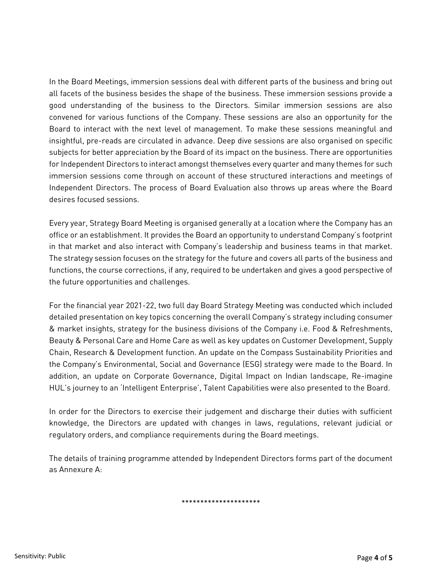In the Board Meetings, immersion sessions deal with different parts of the business and bring out all facets of the business besides the shape of the business. These immersion sessions provide a good understanding of the business to the Directors. Similar immersion sessions are also convened for various functions of the Company. These sessions are also an opportunity for the Board to interact with the next level of management. To make these sessions meaningful and insightful, pre-reads are circulated in advance. Deep dive sessions are also organised on specific subjects for better appreciation by the Board of its impact on the business. There are opportunities for Independent Directors to interact amongst themselves every quarter and many themes for such immersion sessions come through on account of these structured interactions and meetings of Independent Directors. The process of Board Evaluation also throws up areas where the Board desires focused sessions.

Every year, Strategy Board Meeting is organised generally at a location where the Company has an office or an establishment. It provides the Board an opportunity to understand Company's footprint in that market and also interact with Company's leadership and business teams in that market. The strategy session focuses on the strategy for the future and covers all parts of the business and functions, the course corrections, if any, required to be undertaken and gives a good perspective of the future opportunities and challenges.

For the financial year 2021-22, two full day Board Strategy Meeting was conducted which included detailed presentation on key topics concerning the overall Company's strategy including consumer & market insights, strategy for the business divisions of the Company i.e. Food & Refreshments, Beauty & Personal Care and Home Care as well as key updates on Customer Development, Supply Chain, Research & Development function. An update on the Compass Sustainability Priorities and the Company's Environmental, Social and Governance (ESG) strategy were made to the Board. In addition, an update on Corporate Governance, Digital Impact on Indian landscape, Re-imagine HUL's journey to an 'Intelligent Enterprise', Talent Capabilities were also presented to the Board.

In order for the Directors to exercise their judgement and discharge their duties with sufficient knowledge, the Directors are updated with changes in laws, regulations, relevant judicial or regulatory orders, and compliance requirements during the Board meetings.

The details of training programme attended by Independent Directors forms part of the document as Annexure A:

\*\*\*\*\*\*\*\*\*\*\*\*\*\*\*\*\*\*\*\*\*